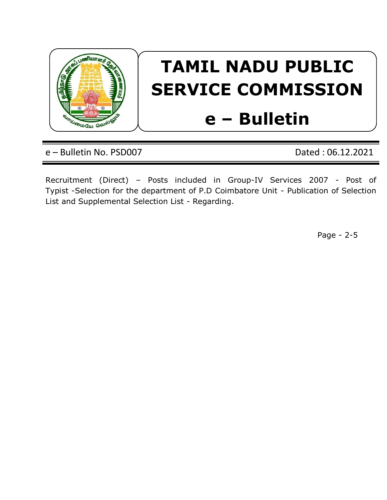

# **TAMIL NADU PUBLIC SERVICE COMMISSION**

# **e – Bulletin**

e – Bulletin No. PSD007 Dated : 06.12.2021

Recruitment (Direct) – Posts included in Group-IV Services 2007 - Post of Typist -Selection for the department of P.D Coimbatore Unit - Publication of Selection List and Supplemental Selection List - Regarding.

Page - 2-5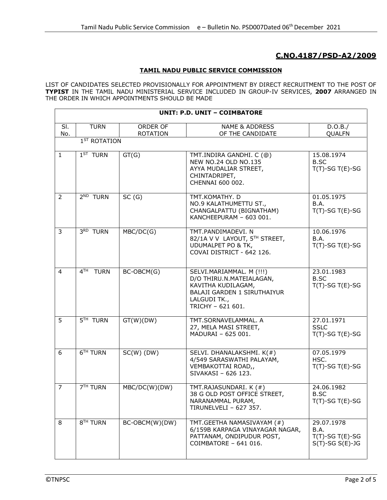## **C.NO.4187/PSD-A2/2009**

#### **TAMIL NADU PUBLIC SERVICE COMMISSION**

LIST OF CANDIDATES SELECTED PROVISIONALLY FOR APPOINTMENT BY DIRECT RECRUITMENT TO THE POST OF **TYPIST** IN THE TAMIL NADU MINISTERIAL SERVICE INCLUDED IN GROUP-IV SERVICES, **2007** ARRANGED IN THE ORDER IN WHICH APPOINTMENTS SHOULD BE MADE

| <b>UNIT: P.D. UNIT - COIMBATORE</b> |                      |                             |                                                                                                                                                       |                                                                  |  |
|-------------------------------------|----------------------|-----------------------------|-------------------------------------------------------------------------------------------------------------------------------------------------------|------------------------------------------------------------------|--|
| SI.<br>No.                          | <b>TURN</b>          | ORDER OF<br><b>ROTATION</b> | <b>NAME &amp; ADDRESS</b><br>OF THE CANDIDATE                                                                                                         | D.O.B./<br><b>QUALFN</b>                                         |  |
| 1 <sup>ST</sup> ROTATION            |                      |                             |                                                                                                                                                       |                                                                  |  |
| $\mathbf{1}$                        | $1ST$ TURN           | GT(G)                       | TMT.INDIRA GANDHI. C (@)<br>NEW NO.24 OLD NO.135<br>AYYA MUDALIAR STREET,<br>CHINTADRIPET,<br>CHENNAI 600 002.                                        | 15.08.1974<br>B.SC<br>$T(T)-SG T(E)-SG$                          |  |
| $\overline{2}$                      | $2^{ND}$ TURN        | SC(G)                       | TMT.KOMATHY. D<br>NO.9 KALATHUMETTU ST.,<br>CHANGALPATTU (BIGNATHAM)<br>KANCHEEPURAM - 603 001.                                                       | 01.05.1975<br>B.A.<br>$T(T)$ -SG T(E)-SG                         |  |
| 3                                   | 3RD TURN             | MBC/DC(G)                   | TMT.PANDIMADEVI. N<br>82/1A V V LAYOUT, 5TH STREET,<br><b>UDUMALPET PO &amp; TK,</b><br>COVAI DISTRICT - 642 126.                                     | 10.06.1976<br>B.A.<br>$T(T)-SG T(E)-SG$                          |  |
| $\overline{4}$                      | $4TH$ TURN           | BC-OBCM(G)                  | SELVI.MARIAMMAL. M (!!!)<br>D/O THIRU.N.MATEIALAGAN,<br>KAVITHA KUDILAGAM,<br><b>BALAJI GARDEN 1 SIRUTHAIYUR</b><br>LALGUDI TK.,<br>TRICHY - 621 601. | 23.01.1983<br><b>B.SC</b><br>$T(T)$ -SG T(E)-SG                  |  |
| 5                                   | 5 <sup>TH</sup> TURN | GT(W)(DW)                   | TMT.SORNAVELAMMAL. A<br>27, MELA MASI STREET,<br>MADURAI - 625 001.                                                                                   | 27.01.1971<br><b>SSLC</b><br>$T(T)-SG T(E)-SG$                   |  |
| 6                                   | 6 <sup>TH</sup> TURN | $SC(W)$ (DW)                | SELVI. DHANALAKSHMI. K(#)<br>4/549 SARASWATHI PALAYAM,<br>VEMBAKOTTAI ROAD,,<br>SIVAKASI - 626 123.                                                   | 07.05.1979<br>HSC.<br>$T(T)$ -SG T(E)-SG                         |  |
| $\overline{7}$                      | 7 <sup>TH</sup> TURN | MBC/DC(W)(DW)               | TMT.RAJASUNDARI. K (#)<br>38 G OLD POST OFFICE STREET,<br>NARANAMMAL PURAM,<br>TIRUNELVELI - 627 357.                                                 | 24.06.1982<br>B.SC<br>$T(T)$ -SG T(E)-SG                         |  |
| 8                                   | 8 <sup>TH</sup> TURN | BC-OBCM(W)(DW)              | TMT.GEETHA NAMASIVAYAM (#)<br>6/159B KARPAGA VINAYAGAR NAGAR,<br>PATTANAM, ONDIPUDUR POST,<br>COIMBATORE - 641 016.                                   | 29.07.1978<br>B.A.<br>$T(T)-SG T(E)-SG$<br>$S(T)$ -SG $S(E)$ -JG |  |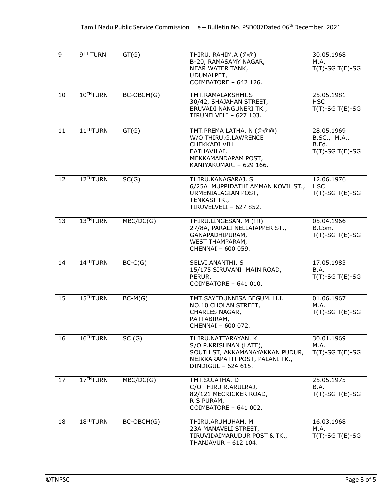| $\overline{9}$ | 9 <sup>TH</sup> TURN  | GT(G)      | THIRU. RAHIM.A (@@)<br>B-20, RAMASAMY NAGAR,<br>NEAR WATER TANK,<br>UDUMALPET,<br>COIMBATORE - 642 126.                                    | 30.05.1968<br>M.A.<br>$T(T)-SG T(E)-SG$                   |
|----------------|-----------------------|------------|--------------------------------------------------------------------------------------------------------------------------------------------|-----------------------------------------------------------|
| 10             | 10THTURN              | BC-OBCM(G) | TMT.RAMALAKSHMI.S<br>30/42, SHAJAHAN STREET,<br>ERUVADI NANGUNERI TK.,<br>TIRUNELVELI - 627 103.                                           | 25.05.1981<br><b>HSC</b><br>$T(T)$ -SG T(E)-SG            |
| 11             | 11 <sup>TH</sup> TURN | GT(G)      | TMT.PREMA LATHA. N (@@@)<br>W/O THIRU.G.LAWRENCE<br><b>CHEKKADI VILL</b><br>EATHAVILAI,<br>MEKKAMANDAPAM POST,<br>KANIYAKUMARI - 629 166.  | 28.05.1969<br>B.SC., M.A.,<br>B.Ed.<br>$T(T)$ -SG T(E)-SG |
| 12             | 12THTURN              | SC(G)      | THIRU.KANAGARAJ. S<br>6/25A MUPPIDATHI AMMAN KOVIL ST.,<br>URMENIALAGIAN POST,<br>TENKASI TK.,<br>TIRUVELVELI - 627 852.                   | 12.06.1976<br><b>HSC</b><br>$T(T)$ -SG T(E)-SG            |
| 13             | 13THTURN              | MBC/DC(G)  | THIRU.LINGESAN. M (!!!)<br>27/8A, PARALI NELLAIAPPER ST.,<br>GANAPADHIPURAM,<br><b>WEST THAMPARAM,</b><br>CHENNAI - 600 059.               | 05.04.1966<br>B.Com.<br>$T(T)$ -SG T(E)-SG                |
| 14             | 14THTURN              | $BC-C(G)$  | SELVI.ANANTHI. S<br>15/175 SIRUVANI MAIN ROAD,<br>PERUR,<br>COIMBATORE - 641 010.                                                          | 17.05.1983<br>B.A.<br>$T(T)$ -SG T(E)-SG                  |
| 15             | 15THTURN              | $BC-M(G)$  | TMT.SAYEDUNNISA BEGUM. H.I.<br>NO.10 CHOLAN STREET,<br>CHARLES NAGAR,<br>PATTABIRAM,<br>CHENNAI - 600 072.                                 | 01.06.1967<br>M.A.<br>$T(T)$ -SG T(E)-SG                  |
| 16             | 16 <sup>TH</sup> TURN | SC(G)      | THIRU.NATTARAYAN. K<br>S/O P.KRISHNAN (LATE),<br>SOUTH ST, AKKAMANAYAKKAN PUDUR,<br>NEIKKARAPATTI POST, PALANI TK.,<br>DINDIGUL - 624 615. | 30.01.1969<br>M.A.<br>$T(T)$ -SG T(E)-SG                  |
| 17             | 17THTURN              | MBC/DC(G)  | TMT.SUJATHA. D<br>C/O THIRU R.ARULRAJ,<br>82/121 MECRICKER ROAD,<br>R S PURAM,<br>COIMBATORE - 641 002.                                    | 25.05.1975<br>B.A.<br>$T(T)$ -SG T(E)-SG                  |
| 18             | 18 <sup>TH</sup> TURN | BC-OBCM(G) | THIRU.ARUMUHAM. M<br>23A MANAVELI STREET,<br>TIRUVIDAIMARUDUR POST & TK.,<br>THANJAVUR - 612 104.                                          | 16.03.1968<br>M.A.<br>$T(T)$ -SG T(E)-SG                  |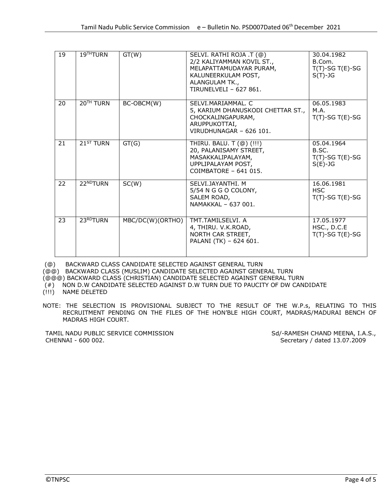| 19 | 19 <sup>TH</sup> TURN | GT(W)            | SELVI. RATHI ROJA .T (@)<br>2/2 KALIYAMMAN KOVIL ST.,<br>MELAPATTAMUDAYAR PURAM,<br>KALUNEERKULAM POST,<br>ALANGULAM TK.,<br>TIRUNELVELL - 627 861. | 30.04.1982<br>B.Com.<br>$T(T)$ -SG T(E)-SG<br>$S(T)-JG$ |
|----|-----------------------|------------------|-----------------------------------------------------------------------------------------------------------------------------------------------------|---------------------------------------------------------|
| 20 | 20 <sup>TH</sup> TURN | BC-OBCM(W)       | SELVI.MARIAMMAL. C<br>5, KARIUM DHANUSKODI CHETTAR ST.,<br>CHOCKALINGAPURAM,<br>ARUPPUKOTTAI,<br>VIRUDHUNAGAR - 626 101.                            | 06.05.1983<br>M.A.<br>$T(T)$ -SG T(E)-SG                |
| 21 | 21 <sup>ST</sup> TURN | GT(G)            | THIRU. BALU. T (@) (!!!)<br>20, PALANISAMY STREET,<br>MASAKKALIPALAYAM,<br>UPPLIPALAYAM POST,<br>$COMBATORF - 641015.$                              | 05.04.1964<br>B.SC.<br>$T(T)$ -SG T(E)-SG<br>$S(E)-JG$  |
| 22 | 22NDTURN              | SC(W)            | SELVI.JAYANTHI. M<br>5/54 N G G O COLONY,<br>SALEM ROAD,<br>NAMAKKAL - 637 001.                                                                     | 16.06.1981<br><b>HSC</b><br>$T(T)$ -SG T(E)-SG          |
| 23 | 23 <sup>RD</sup> TURN | MBC/DC(W)(ORTHO) | TMT.TAMILSELVI. A<br>4, THIRU. V.K.ROAD,<br>NORTH CAR STREET,<br>PALANI (TK) - 624 601.                                                             | 17.05.1977<br>HSC., D.C.E<br>$T(T)$ -SG T(E)-SG         |

(@) BACKWARD CLASS CANDIDATE SELECTED AGAINST GENERAL TURN

(@@) BACKWARD CLASS (MUSLIM) CANDIDATE SELECTED AGAINST GENERAL TURN

(@@@) BACKWARD CLASS (CHRISTIAN) CANDIDATE SELECTED AGAINST GENERAL TURN

(#) NON D.W CANDIDATE SELECTED AGAINST D.W TURN DUE TO PAUCITY OF DW CANDIDATE

(!!!) NAME DELETED

NOTE: THE SELECTION IS PROVISIONAL SUBJECT TO THE RESULT OF THE W.P.s, RELATING TO THIS RECRUITMENT PENDING ON THE FILES OF THE HON'BLE HIGH COURT, MADRAS/MADURAI BENCH OF MADRAS HIGH COURT.

TAMIL NADU PUBLIC SERVICE COMMISSION Sd/-RAMESH CHAND MEENA, I.A.S., CHENNAI - 600 002. Secretary / dated 13.07.2009